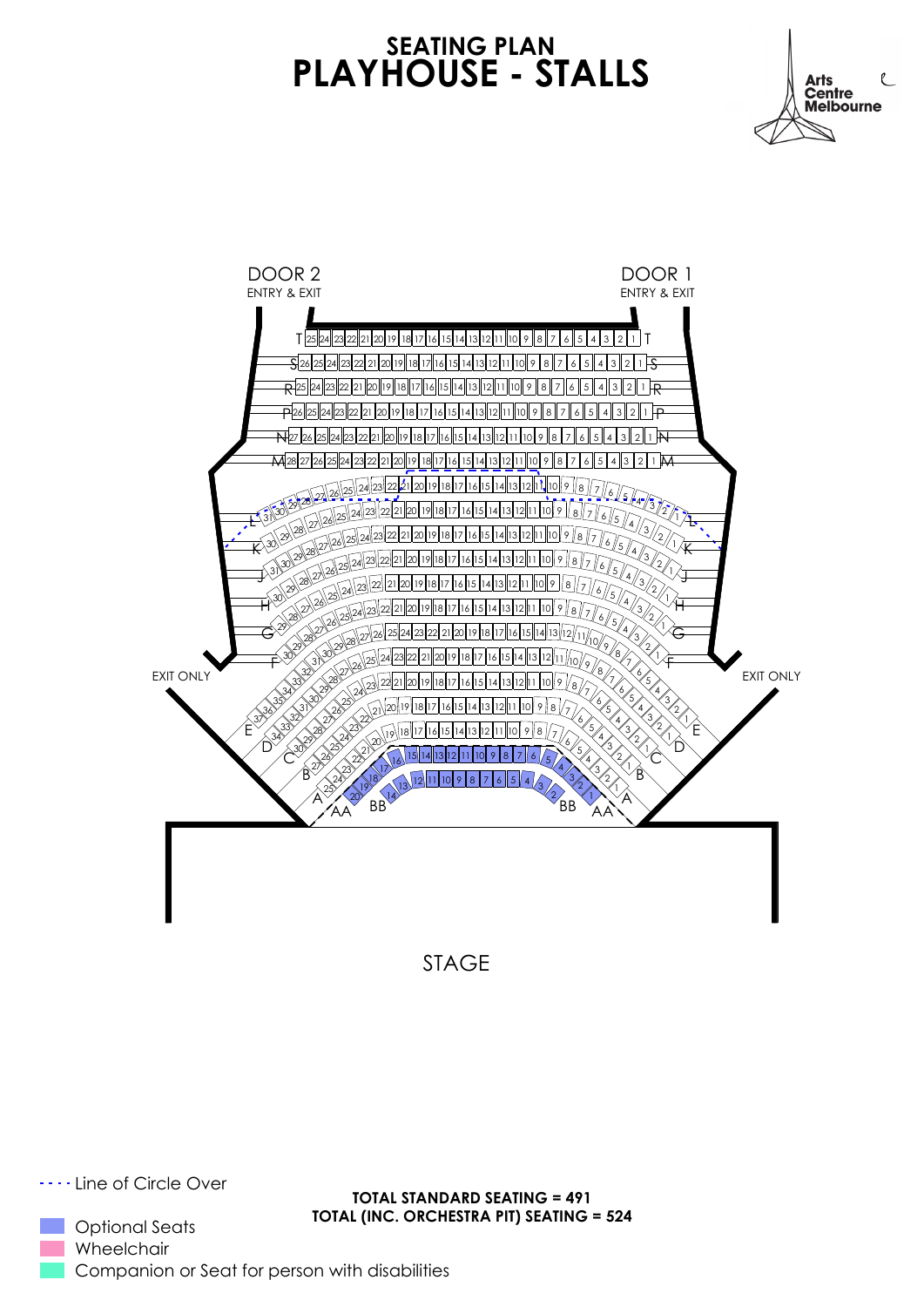## **SEATING PLAN PLAYHOUSE - STALLS**





STAGE

.... Line of Circle Over

Optional Seats Wheelchair Companion or Seat for person with disabilities

**TOTAL STANDARD SEATING = 491 TOTAL (INC. ORCHESTRA PIT) SEATING = 524**